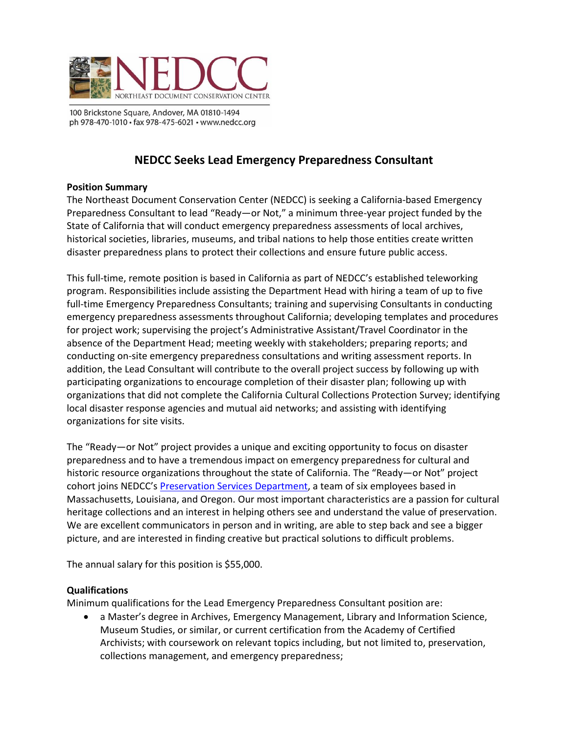

100 Brickstone Square, Andover, MA 01810-1494 ph 978-470-1010 · fax 978-475-6021 · www.nedcc.org

# **NEDCC Seeks Lead Emergency Preparedness Consultant**

## **Position Summary**

The Northeast Document Conservation Center (NEDCC) is seeking a California-based Emergency Preparedness Consultant to lead "Ready—or Not," a minimum three-year project funded by the State of California that will conduct emergency preparedness assessments of local archives, historical societies, libraries, museums, and tribal nations to help those entities create written disaster preparedness plans to protect their collections and ensure future public access.

This full-time, remote position is based in California as part of NEDCC's established teleworking program. Responsibilities include assisting the Department Head with hiring a team of up to five full-time Emergency Preparedness Consultants; training and supervising Consultants in conducting emergency preparedness assessments throughout California; developing templates and procedures for project work; supervising the project's Administrative Assistant/Travel Coordinator in the absence of the Department Head; meeting weekly with stakeholders; preparing reports; and conducting on-site emergency preparedness consultations and writing assessment reports. In addition, the Lead Consultant will contribute to the overall project success by following up with participating organizations to encourage completion of their disaster plan; following up with organizations that did not complete the California Cultural Collections Protection Survey; identifying local disaster response agencies and mutual aid networks; and assisting with identifying organizations for site visits.

The "Ready—or Not" project provides a unique and exciting opportunity to focus on disaster preparedness and to have a tremendous impact on emergency preparedness for cultural and historic resource organizations throughout the state of California. The "Ready—or Not" project cohort joins NEDCC's [Preservation Services Department,](https://www.nedcc.org/assets/media/documents/2021%20PS%20New%20Brochure.pdf) a team of six employees based in Massachusetts, Louisiana, and Oregon. Our most important characteristics are a passion for cultural heritage collections and an interest in helping others see and understand the value of preservation. We are excellent communicators in person and in writing, are able to step back and see a bigger picture, and are interested in finding creative but practical solutions to difficult problems.

The annual salary for this position is \$55,000.

#### **Qualifications**

Minimum qualifications for the Lead Emergency Preparedness Consultant position are:

• a Master's degree in Archives, Emergency Management, Library and Information Science, Museum Studies, or similar, or current certification from the Academy of Certified Archivists; with coursework on relevant topics including, but not limited to, preservation, collections management, and emergency preparedness;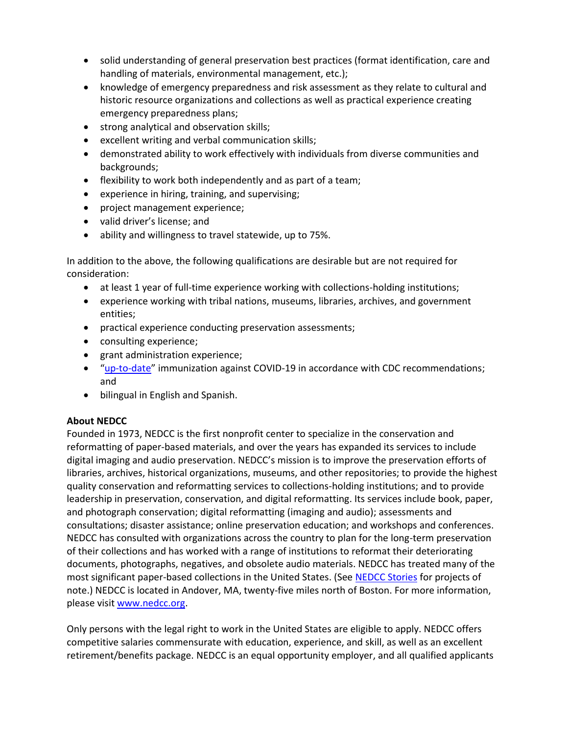- solid understanding of general preservation best practices (format identification, care and handling of materials, environmental management, etc.);
- knowledge of emergency preparedness and risk assessment as they relate to cultural and historic resource organizations and collections as well as practical experience creating emergency preparedness plans;
- strong analytical and observation skills;
- excellent writing and verbal communication skills;
- demonstrated ability to work effectively with individuals from diverse communities and backgrounds;
- flexibility to work both independently and as part of a team;
- experience in hiring, training, and supervising;
- project management experience;
- valid driver's license; and
- ability and willingness to travel statewide, up to 75%.

In addition to the above, the following qualifications are desirable but are not required for consideration:

- at least 1 year of full-time experience working with collections-holding institutions;
- experience working with tribal nations, museums, libraries, archives, and government entities;
- practical experience conducting preservation assessments;
- consulting experience;
- grant administration experience;
- "[up-to-date](https://www.cdc.gov/coronavirus/2019-ncov/vaccines/stay-up-to-date.html#recommendations)" immunization against COVID-19 in accordance with CDC recommendations; and
- bilingual in English and Spanish.

## **About NEDCC**

Founded in 1973, NEDCC is the first nonprofit center to specialize in the conservation and reformatting of paper-based materials, and over the years has expanded its services to include digital imaging and audio preservation. NEDCC's mission is to improve the preservation efforts of libraries, archives, historical organizations, museums, and other repositories; to provide the highest quality conservation and reformatting services to collections-holding institutions; and to provide leadership in preservation, conservation, and digital reformatting. Its services include book, paper, and photograph conservation; digital reformatting (imaging and audio); assessments and consultations; disaster assistance; online preservation education; and workshops and conferences. NEDCC has consulted with organizations across the country to plan for the long-term preservation of their collections and has worked with a range of institutions to reformat their deteriorating documents, photographs, negatives, and obsolete audio materials. NEDCC has treated many of the most significant paper-based collections in the United States. (See [NEDCC Stories](https://www.nedcc.org/about/nedcc-stories/) for projects of note.) NEDCC is located in Andover, MA, twenty-five miles north of Boston. For more information, please visit [www.nedcc.org.](http://www.nedcc.org/)

Only persons with the legal right to work in the United States are eligible to apply. NEDCC offers competitive salaries commensurate with education, experience, and skill, as well as an excellent retirement/benefits package. NEDCC is an equal opportunity employer, and all qualified applicants